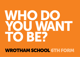# WHO DO YOU WANNI TO BE?

# Wrotham school 6th form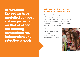At Wrotham School we have modelled our post sixteen provision on that of other outstanding comprehensive, independent and selective schools.

# Achieving excellent results for further study and employment

Our offer includes a strong suite of academic A Levels along with excellent vocational and career-related pathways. Our students achieved excellent results leading to positive value added scores with many A\*, A and B grades in A levels and other level 3 qualifications.

All of our courses are level 3, and are A levels or equivalent to A level study. They are also recognised by Universities and employers.

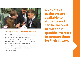

# Getting the best out of every student

Our specialist teachers are outstanding practitioners and get the very best out of every student. Our school ethos of "High Expectations, Challenge and Opportunity" continues into our sixth form and ensures that all our students reach their full potential. Pastoral care and careers advice is personalised and provides a supportive community with strong values.

Our unique pathways are available to students and can be tailored to suit their specific interests to prepare them for their future.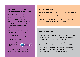# International Baccalaureate Career-Related Programme

The IBCP is a blend of academic subjects and career-related courses, which is a globally recognised programme that encourages candidates to become effective learners who can work both independently and in a collaborative environment. In order to qualify, students should choose a combination of the following:

- Two IB courses (at either higher or standard level)
- One vocational course
- Fither another vocational course OR an A level

![](_page_3_Picture_5.jpeg)

IBCP students can earn extra UCAS points through the reflective project.

# A Level pathway

Applicants can choose any 3 or 4 A Levels from different blocks.

These can be combined with IB diploma courses.

Minimum Entry Requirements: 5 x 9-4 at GCSE including at least a grade 4 in English and mathematics.

# Foundation Year

This pathway has been designed specifically for students who have not achieved 5 x 9-4 at GCSE and have not achieved grade 4 or above at GCSE English and mathematics.

This pathway is to allow students an opportunity to re-sit English and mathematics and begin study on a level 3 Careerrelated programme, initially with one course. It is expected that students on this pathway will continue their level 3 studies into years 13 and 14 on any of our other pathways.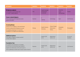| <b>PATHWAYS</b>                                                                                                                                                                                                                        | <b>BLOCKA</b>   | <b>BLOCKB</b>                                    | <b>BLOCK C</b>                                         | <b>BLOCKD</b>                                | <b>BLOCKE</b>         |
|----------------------------------------------------------------------------------------------------------------------------------------------------------------------------------------------------------------------------------------|-----------------|--------------------------------------------------|--------------------------------------------------------|----------------------------------------------|-----------------------|
| <b>IB diploma subjects</b><br>2 x IB subjects must be taken with<br>2 x Career- related subjects.                                                                                                                                      | Film            | English language<br>and literature<br>(combined) |                                                        | <b>Visual Arts</b><br>Social<br>Anthropology | <b>Theatre</b>        |
| <b>Career-related Subjects</b><br>To be combined with IB diploma courses<br>as part of the IBCP.                                                                                                                                       | <b>Business</b> | $\mathsf{I}$<br>Catering                         | Criminology                                            | Sport                                        | CISI (Finance)        |
| A Level pathway<br>Choice of 3 or 4 subjects, 1 from each block.<br>Can be combined with IB diploma courses.<br>For students achieving 5+9-4 at GCSE<br>including 9-4 in English and mathematics.                                      | Biology         | English literature<br>Chemistry                  | <b>Product Design</b><br><b>Mathematics</b><br>History | Geography<br><b>Physics</b>                  | Photography           |
| <b>Additional options</b><br>To be taken in addition to either the IBCP<br>or three other subjects                                                                                                                                     |                 | English GCSE<br>re-sit.                          | <b>Mathematics</b><br>GCSE re-sit.                     |                                              | Pro Soccer<br>Academy |
| <b>Foundation Year</b><br>For students not achieving 5 x 9-4 grades<br>at GCSE and not achieving at least a grade 4<br>English and mathematics at the end of year 11.<br>This is a pathway to further level 3 study in years 13 and 14 | <b>Business</b> | English GCSE<br>re-sit.                          | <b>Mathematics</b><br>GCSE re-sit.                     | Sport                                        | CISI (Finance)        |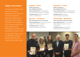# Subject information

All courses at Wrotham School Sixth Form are level 3 qualifications. This means that they are all accepted by universities and attract UCAS tariff points. Higher level IB certificates are the equivalent of one A level, as are all of our career-related courses; standard level IB certificates are the equivalent of half an A level.

For each subject: Name, type of qualification, unit titles, %coursework/exam entry requirements, possible careers.

# Biology – A level

100% examination plus separate practicals

Entry requirements: 6 in biology/6 6 in combined science AND 5 in English

Possible careers: dentistry, veterinary science, physiotherapy

## Business – Vocational

### 58% examination; 42% coursework

Entry requirements: merit in a vocational subject OR 5 GCSEs at grade 4. Possible careers: marketing, accounting, finance, economics

# Chemistry – A level

100% examination plus separate practicals

Entry requirements: 6 in chemistry/6 6 in combined science AND 5 in mathematics

Possible careers: medicine, pharmacology, biochemistry

# Criminology – Vocational

### 50% examination; 50% coursework

Entry requirements: 4 4 5 in English, mathematics and science in any combination

Possible careers: police, forensic psychology, fraud investigation

![](_page_5_Picture_18.jpeg)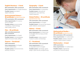# English literature – A level

80% examination; 20% coursework Entry requirements: 6 in English literature Possible careers: journalism: digital media; law

### Environmental Science – **IB certificate** (standard level only)

75% examination; 25% coursework

**Entry requirements: 4 in science** and 4 in English

Possible careers: environmental consultancy; marine biology; water quality science

# Film – IB certificate

40% controlled assessment; 60% coursework

Entry requirements: 5 in English Possible careers: cinematography; digital and social media; editing

# Finance – Vocational

100% examination Entry requirements: 5 in English and 5 in mathematics

Possible careers: financial services; banking; insurance

# Geography – A level

80% examination; 20% coursework Entry requirements: 6 in geography Possible careers: international development; town planning; market researcher

# Global Politics – IB certificate (standard level only)

75% examination; 25% coursework

Entry requirements: 4 in English

Possible careers: civil service fast stream; public relations; social research

# History – A level

80% examination; 20% coursework

Entry requirements: 6 in history and 4 in English OR (if no history GCSE) 5 in English

Possible careers: media research; museum curation; archaeology

# IT – Vocational

50% examination; 50% coursework Entry requirements: 6 in IT (or equivalent) and 4 in English Possible careers: web design: game design; cyber security; programming

![](_page_6_Picture_24.jpeg)

# Mathematical Studies – **IB certificate** (standard level only)

80% examination; 20% coursework **Entry requirements:** 4 in mathematics Possible careers: statistics; financial analysis; market research analysis

# Mathematics – A level

100% examination **Entry requirements:** 7 in mathematics Possible careers: engineering; architecture; financial trading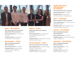![](_page_7_Picture_0.jpeg)

### Music – IB certificate

30% examination; 20% controlled assessment; 30% coursework

Entry requirements: 6 or distinction in music

Possible careers: sound design; music artist; music therapist

### Photography – A level

40% controlled assessment; 60% coursework

Entry requirements: 4 in English Possible careers: graphic design; web content management; advertising art

# Physics – A level

100% examination plus separate practicals

Entry requirements: 6 in physics/6 6 in combined science AND 5 in mathematics

Possible careers: engineering; computer science; space science

### Product Design – A level

### 50% examination; 50% coursework

**Entry requirements:** 4 or pass in design and technology subject

Possible careers: graphic design; materials engineer; architecture

### Social and Cultural Anthropology – IB certificate

75% examination; 25% coursework Entry requirements: 5 in English Possible careers: charity work; human resources; international aid

### Sport – Vocational

### 60% examination; 40% coursework

Entry requirements: 6 or merit in sport or physical education

Possible careers: sports development; coaching; fitness instruction

# Theatre – IB certificate

75% controlled assessment; 25% coursework Entry requirements: 5 in drama Possible careers: acting; drama therapy; stage management

### Visual Arts – IB certificate

60% controlled assessment; 40% coursework

Entry requirements: 4 in art and 4 in English

Possible careers: illustration; graphic design; animation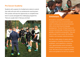# Pro Soccer Academy

Students with a passion for football and a desire to extend their skills will work with our professional coaching team. PSA scholars will have the opportunity to complete three level 3 courses alongside this challenging programme. Trials are usually held in February and April.

![](_page_8_Picture_2.jpeg)

# **Enrichment**

All students, excluding PSA scholars, complete three hours of enrichment per week including personal and professional skills, service learning and language development. The aim of these hours is to develop internationally-minded learners and globally competitive young adults. Trips and visits include Crown courts, film festivals, theatres, and overseas cultural excursions.

We offer a wide variety of careers advice and guidance, including connections with employers, work experience, university visits, apprenticeship events and advice, LinkedIn workshops and events, and many more. We have access to impartial careers advice and guidance for all of our students.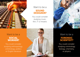![](_page_9_Picture_0.jpeg)

# Want to be a **SOUND** DESIGNER?

You could consider studying music, film, IT or theatre.

![](_page_9_Picture_3.jpeg)

Want to be a **FORENS** scientist?

You could consider studying criminology, biology, chemistry, or physics

# Want to be a social WORKER?

You could consider studying anthropology, criminology, politics or English literature

![](_page_9_Picture_8.jpeg)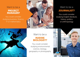# Want to be a **PROJECT** manager?

You could consider studying business, finance, IT or mathematics

![](_page_10_Picture_2.jpeg)

# Want to be a journalist?

You could consider studying English literature, history, politics or anthropology

![](_page_10_Picture_5.jpeg)

# Want to be a **MARINE** biologist?

You could consider studying environmental science, biology, geography or photography

![](_page_10_Picture_8.jpeg)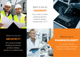![](_page_11_Picture_0.jpeg)

# Want to be an engineer?

You could consider studying physics, product design, mathematics or IT

![](_page_11_Picture_3.jpeg)

# Want to be an **ARCHITECT?**

You could consider studying visual arts, product design, physics or mathematics

![](_page_11_Picture_6.jpeg)

# Want to be a pharmacologist?

You could consider studying biology, chemistry, physics or mathematics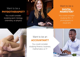# Want to be a physiotherapist?

You could consider studying sport, biology, chemistry, or physics

![](_page_12_Picture_2.jpeg)

# Want to be a **DIGITAL MARKETER?**

You could consider studying film, IT, photography or visual arts

![](_page_12_Picture_5.jpeg)

# Want to be an **ACCOUNTANT?**

You could consider studying finance, business, mathematics or IT

![](_page_12_Picture_8.jpeg)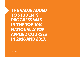The value added to students' progresswas in the top 10% nationally for applied courses in 2016 and 2017.

Ofsted 2018